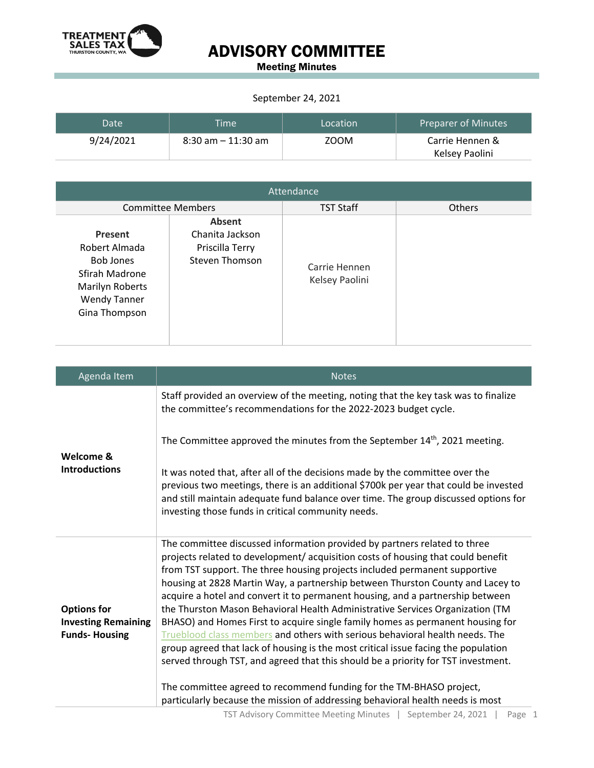

### ADVISORY COMMITTEE

Meeting Minutes

#### September 24, 2021

| Date      | <b>Time</b>           | Location | Preparer of Minutes |
|-----------|-----------------------|----------|---------------------|
| 9/24/2021 | $8:30$ am $-11:30$ am | ZOOM     | Carrie Hennen &     |
|           |                       |          | Kelsey Paolini      |

| Attendance                                                                                                                |                                                                              |                                 |               |  |
|---------------------------------------------------------------------------------------------------------------------------|------------------------------------------------------------------------------|---------------------------------|---------------|--|
| <b>Committee Members</b>                                                                                                  |                                                                              | <b>TST Staff</b>                | <b>Others</b> |  |
| Present<br>Robert Almada<br><b>Bob Jones</b><br>Sfirah Madrone<br>Marilyn Roberts<br><b>Wendy Tanner</b><br>Gina Thompson | <b>Absent</b><br>Chanita Jackson<br>Priscilla Terry<br><b>Steven Thomson</b> | Carrie Hennen<br>Kelsey Paolini |               |  |

| Agenda Item                                                              | <b>Notes</b>                                                                                                                                                                                                                                                                                                                                                                                                                                                                                                                                                                                                                                                                                                                                                                                                                                  |
|--------------------------------------------------------------------------|-----------------------------------------------------------------------------------------------------------------------------------------------------------------------------------------------------------------------------------------------------------------------------------------------------------------------------------------------------------------------------------------------------------------------------------------------------------------------------------------------------------------------------------------------------------------------------------------------------------------------------------------------------------------------------------------------------------------------------------------------------------------------------------------------------------------------------------------------|
| Welcome &<br><b>Introductions</b>                                        | Staff provided an overview of the meeting, noting that the key task was to finalize<br>the committee's recommendations for the 2022-2023 budget cycle.                                                                                                                                                                                                                                                                                                                                                                                                                                                                                                                                                                                                                                                                                        |
|                                                                          | The Committee approved the minutes from the September 14 <sup>th</sup> , 2021 meeting.                                                                                                                                                                                                                                                                                                                                                                                                                                                                                                                                                                                                                                                                                                                                                        |
|                                                                          | It was noted that, after all of the decisions made by the committee over the<br>previous two meetings, there is an additional \$700k per year that could be invested<br>and still maintain adequate fund balance over time. The group discussed options for<br>investing those funds in critical community needs.                                                                                                                                                                                                                                                                                                                                                                                                                                                                                                                             |
| <b>Options for</b><br><b>Investing Remaining</b><br><b>Funds-Housing</b> | The committee discussed information provided by partners related to three<br>projects related to development/ acquisition costs of housing that could benefit<br>from TST support. The three housing projects included permanent supportive<br>housing at 2828 Martin Way, a partnership between Thurston County and Lacey to<br>acquire a hotel and convert it to permanent housing, and a partnership between<br>the Thurston Mason Behavioral Health Administrative Services Organization (TM<br>BHASO) and Homes First to acquire single family homes as permanent housing for<br>Trueblood class members and others with serious behavioral health needs. The<br>group agreed that lack of housing is the most critical issue facing the population<br>served through TST, and agreed that this should be a priority for TST investment. |
|                                                                          | The committee agreed to recommend funding for the TM-BHASO project,<br>particularly because the mission of addressing behavioral health needs is most                                                                                                                                                                                                                                                                                                                                                                                                                                                                                                                                                                                                                                                                                         |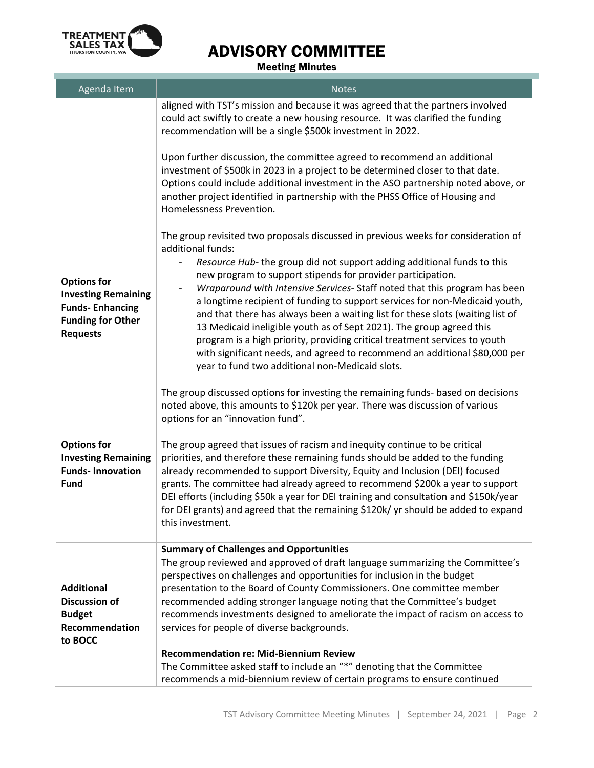

# ADVISORY COMMITTEE

Meeting Minutes

| Agenda Item                                                                                                               | <b>Notes</b>                                                                                                                                                                                                                                                                                                                                                                                                                                                                                                                                                                                                                                                                                                                                                                           |
|---------------------------------------------------------------------------------------------------------------------------|----------------------------------------------------------------------------------------------------------------------------------------------------------------------------------------------------------------------------------------------------------------------------------------------------------------------------------------------------------------------------------------------------------------------------------------------------------------------------------------------------------------------------------------------------------------------------------------------------------------------------------------------------------------------------------------------------------------------------------------------------------------------------------------|
|                                                                                                                           | aligned with TST's mission and because it was agreed that the partners involved<br>could act swiftly to create a new housing resource. It was clarified the funding<br>recommendation will be a single \$500k investment in 2022.                                                                                                                                                                                                                                                                                                                                                                                                                                                                                                                                                      |
|                                                                                                                           | Upon further discussion, the committee agreed to recommend an additional<br>investment of \$500k in 2023 in a project to be determined closer to that date.<br>Options could include additional investment in the ASO partnership noted above, or<br>another project identified in partnership with the PHSS Office of Housing and<br>Homelessness Prevention.                                                                                                                                                                                                                                                                                                                                                                                                                         |
| <b>Options for</b><br><b>Investing Remaining</b><br><b>Funds-Enhancing</b><br><b>Funding for Other</b><br><b>Requests</b> | The group revisited two proposals discussed in previous weeks for consideration of<br>additional funds:<br>Resource Hub- the group did not support adding additional funds to this<br>new program to support stipends for provider participation.<br>Wraparound with Intensive Services-Staff noted that this program has been<br>a longtime recipient of funding to support services for non-Medicaid youth,<br>and that there has always been a waiting list for these slots (waiting list of<br>13 Medicaid ineligible youth as of Sept 2021). The group agreed this<br>program is a high priority, providing critical treatment services to youth<br>with significant needs, and agreed to recommend an additional \$80,000 per<br>year to fund two additional non-Medicaid slots. |
| <b>Options for</b><br><b>Investing Remaining</b><br><b>Funds-Innovation</b><br><b>Fund</b>                                | The group discussed options for investing the remaining funds- based on decisions<br>noted above, this amounts to \$120k per year. There was discussion of various<br>options for an "innovation fund".<br>The group agreed that issues of racism and inequity continue to be critical<br>priorities, and therefore these remaining funds should be added to the funding<br>already recommended to support Diversity, Equity and Inclusion (DEI) focused<br>grants. The committee had already agreed to recommend \$200k a year to support<br>DEI efforts (including \$50k a year for DEI training and consultation and \$150k/year<br>for DEI grants) and agreed that the remaining \$120k/ yr should be added to expand<br>this investment.                                          |
| <b>Additional</b><br><b>Discussion of</b><br><b>Budget</b><br>Recommendation<br>to BOCC                                   | <b>Summary of Challenges and Opportunities</b><br>The group reviewed and approved of draft language summarizing the Committee's<br>perspectives on challenges and opportunities for inclusion in the budget<br>presentation to the Board of County Commissioners. One committee member<br>recommended adding stronger language noting that the Committee's budget<br>recommends investments designed to ameliorate the impact of racism on access to<br>services for people of diverse backgrounds.<br><b>Recommendation re: Mid-Biennium Review</b><br>The Committee asked staff to include an "*" denoting that the Committee<br>recommends a mid-biennium review of certain programs to ensure continued                                                                            |